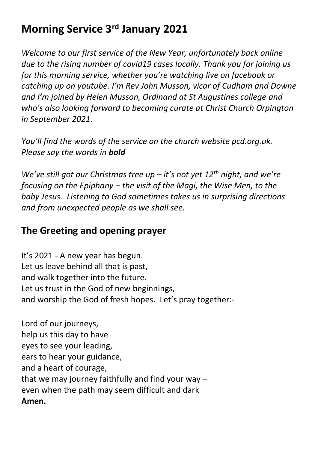# **Morning Service 3 rd January 2021**

*Welcome to our first service of the New Year, unfortunately back online due to the rising number of covid19 cases locally. Thank you for joining us for this morning service, whether you're watching live on facebook or catching up on youtube. I'm Rev John Musson, vicar of Cudham and Downe and I'm joined by Helen Musson, Ordinand at St Augustines college and who's also looking forward to becoming curate at Christ Church Orpington in September 2021.* 

*You'll find the words of the service on the church website pcd.org.uk. Please say the words in bold*

*We've still got our Christmas tree up – it's not yet 12th night, and we're focusing on the Epiphany – the visit of the Magi, the Wise Men, to the baby Jesus. Listening to God sometimes takes us in surprising directions and from unexpected people as we shall see.*

### **The Greeting and opening prayer**

It's 2021 - A new year has begun. Let us leave behind all that is past, and walk together into the future. Let us trust in the God of new beginnings, and worship the God of fresh hopes. Let's pray together:-

Lord of our journeys, help us this day to have eyes to see your leading, ears to hear your guidance, and a heart of courage, that we may journey faithfully and find your way – even when the path may seem difficult and dark **Amen.**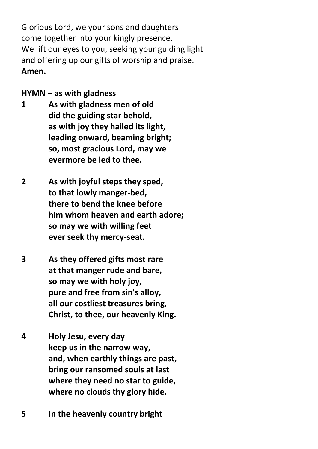Glorious Lord, we your sons and daughters come together into your kingly presence. We lift our eyes to you, seeking your guiding light and offering up our gifts of worship and praise. **Amen.**

#### **HYMN – as with gladness**

- **1 As with gladness men of old did the guiding star behold, as with joy they hailed its light, leading onward, beaming bright; so, most gracious Lord, may we evermore be led to thee.**
- **2 As with joyful steps they sped, to that lowly manger-bed, there to bend the knee before him whom heaven and earth adore; so may we with willing feet ever seek thy mercy-seat.**
- **3 As they offered gifts most rare at that manger rude and bare, so may we with holy joy, pure and free from sin's alloy, all our costliest treasures bring, Christ, to thee, our heavenly King.**
- **4 Holy Jesu, every day keep us in the narrow way, and, when earthly things are past, bring our ransomed souls at last where they need no star to guide, where no clouds thy glory hide.**
- **5 In the heavenly country bright**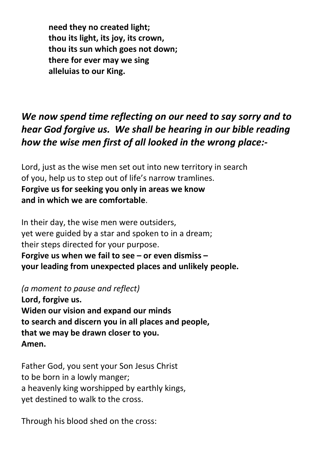**need they no created light; thou its light, its joy, its crown, thou its sun which goes not down; there for ever may we sing alleluias to our King.**

### *We now spend time reflecting on our need to say sorry and to hear God forgive us. We shall be hearing in our bible reading how the wise men first of all looked in the wrong place:-*

Lord, just as the wise men set out into new territory in search of you, help us to step out of life's narrow tramlines. **Forgive us for seeking you only in areas we know and in which we are comfortable**.

In their day, the wise men were outsiders, yet were guided by a star and spoken to in a dream; their steps directed for your purpose. **Forgive us when we fail to see – or even dismiss – your leading from unexpected places and unlikely people.**

*(a moment to pause and reflect)*

**Lord, forgive us. Widen our vision and expand our minds to search and discern you in all places and people, that we may be drawn closer to you. Amen.**

Father God, you sent your Son Jesus Christ to be born in a lowly manger; a heavenly king worshipped by earthly kings, yet destined to walk to the cross.

Through his blood shed on the cross: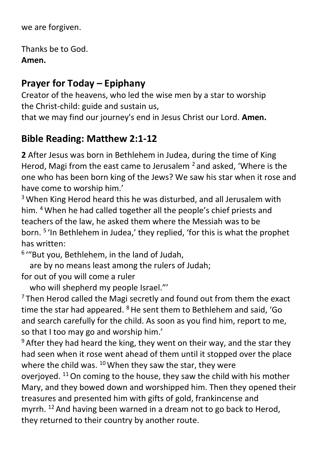we are forgiven.

Thanks be to God. **Amen.**

### **Prayer for Today – Epiphany**

Creator of the heavens, who led the wise men by a star to worship the Christ-child: guide and sustain us,

that we may find our journey's end in Jesus Christ our Lord. **Amen.**

### **Bible Reading: Matthew 2:1-12**

**2** After Jesus was born in Bethlehem in Judea, during the time of King Herod, Magi from the east came to Jerusalem  $^2$  and asked, 'Where is the one who has been born king of the Jews? We saw his star when it rose and have come to worship him.'

<sup>3</sup> When King Herod heard this he was disturbed, and all Jerusalem with him. <sup>4</sup> When he had called together all the people's chief priests and teachers of the law, he asked them where the Messiah was to be born. <sup>5</sup> 'In Bethlehem in Judea,' they replied, 'for this is what the prophet has written:

6 '"But you, Bethlehem, in the land of Judah,

 are by no means least among the rulers of Judah; for out of you will come a ruler

who will shepherd my people Israel."'

 $7$ Then Herod called the Magi secretly and found out from them the exact time the star had appeared.  $8$  He sent them to Bethlehem and said, 'Go and search carefully for the child. As soon as you find him, report to me, so that I too may go and worship him.'

 $9$  After they had heard the king, they went on their way, and the star they had seen when it rose went ahead of them until it stopped over the place where the child was.  $10$  When they saw the star, they were overjoyed. <sup>11</sup>On coming to the house, they saw the child with his mother Mary, and they bowed down and worshipped him. Then they opened their treasures and presented him with gifts of gold, frankincense and myrrh. <sup>12</sup> And having been warned in a dream not to go back to Herod. they returned to their country by another route.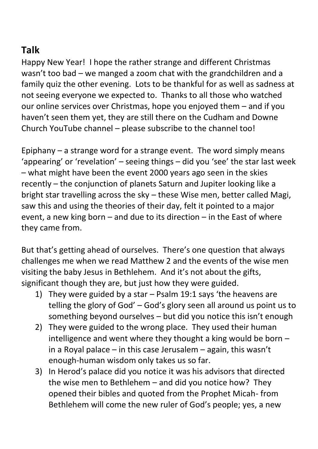## **Talk**

Happy New Year! I hope the rather strange and different Christmas wasn't too bad – we manged a zoom chat with the grandchildren and a family quiz the other evening. Lots to be thankful for as well as sadness at not seeing everyone we expected to. Thanks to all those who watched our online services over Christmas, hope you enjoyed them – and if you haven't seen them yet, they are still there on the Cudham and Downe Church YouTube channel – please subscribe to the channel too!

Epiphany – a strange word for a strange event. The word simply means 'appearing' or 'revelation' – seeing things – did you 'see' the star last week – what might have been the event 2000 years ago seen in the skies recently – the conjunction of planets Saturn and Jupiter looking like a bright star travelling across the sky – these Wise men, better called Magi, saw this and using the theories of their day, felt it pointed to a major event, a new king born – and due to its direction – in the East of where they came from.

But that's getting ahead of ourselves. There's one question that always challenges me when we read Matthew 2 and the events of the wise men visiting the baby Jesus in Bethlehem. And it's not about the gifts, significant though they are, but just how they were guided.

- 1) They were guided by a star Psalm 19:1 says 'the heavens are telling the glory of God' – God's glory seen all around us point us to something beyond ourselves – but did you notice this isn't enough
- 2) They were guided to the wrong place. They used their human intelligence and went where they thought a king would be born – in a Royal palace – in this case Jerusalem – again, this wasn't enough-human wisdom only takes us so far.
- 3) In Herod's palace did you notice it was his advisors that directed the wise men to Bethlehem – and did you notice how? They opened their bibles and quoted from the Prophet Micah- from Bethlehem will come the new ruler of God's people; yes, a new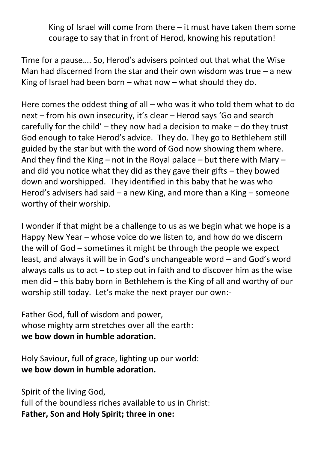King of Israel will come from there – it must have taken them some courage to say that in front of Herod, knowing his reputation!

Time for a pause…. So, Herod's advisers pointed out that what the Wise Man had discerned from the star and their own wisdom was true  $-$  a new King of Israel had been born – what now – what should they do.

Here comes the oddest thing of all – who was it who told them what to do next – from his own insecurity, it's clear – Herod says 'Go and search carefully for the child' – they now had a decision to make – do they trust God enough to take Herod's advice. They do. They go to Bethlehem still guided by the star but with the word of God now showing them where. And they find the King – not in the Royal palace – but there with Mary – and did you notice what they did as they gave their gifts – they bowed down and worshipped. They identified in this baby that he was who Herod's advisers had said – a new King, and more than a King – someone worthy of their worship.

I wonder if that might be a challenge to us as we begin what we hope is a Happy New Year – whose voice do we listen to, and how do we discern the will of God – sometimes it might be through the people we expect least, and always it will be in God's unchangeable word – and God's word always calls us to act – to step out in faith and to discover him as the wise men did – this baby born in Bethlehem is the King of all and worthy of our worship still today. Let's make the next prayer our own:-

Father God, full of wisdom and power, whose mighty arm stretches over all the earth: **we bow down in humble adoration.**

Holy Saviour, full of grace, lighting up our world: **we bow down in humble adoration.**

Spirit of the living God, full of the boundless riches available to us in Christ: **Father, Son and Holy Spirit; three in one:**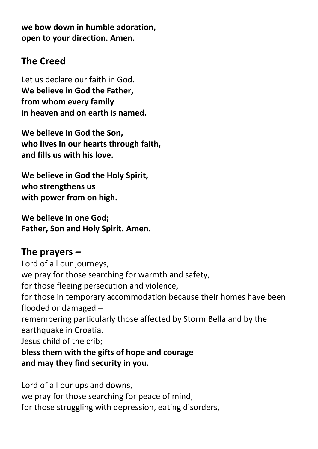**we bow down in humble adoration, open to your direction. Amen.**

### **The Creed**

Let us declare our faith in God. **We believe in God the Father, from whom every family in heaven and on earth is named.**

**We believe in God the Son, who lives in our hearts through faith, and fills us with his love.**

**We believe in God the Holy Spirit, who strengthens us with power from on high.**

**We believe in one God; Father, Son and Holy Spirit. Amen.**

### **The prayers** *–*

Lord of all our journeys, we pray for those searching for warmth and safety, for those fleeing persecution and violence, for those in temporary accommodation because their homes have been flooded or damaged – remembering particularly those affected by Storm Bella and by the earthquake in Croatia. Jesus child of the crib; **bless them with the gifts of hope and courage and may they find security in you.**

Lord of all our ups and downs,

we pray for those searching for peace of mind, for those struggling with depression, eating disorders,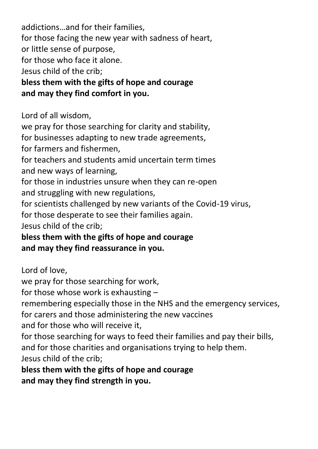addictions…and for their families, for those facing the new year with sadness of heart, or little sense of purpose, for those who face it alone. Jesus child of the crib;

**bless them with the gifts of hope and courage and may they find comfort in you.**

Lord of all wisdom,

we pray for those searching for clarity and stability,

for businesses adapting to new trade agreements,

for farmers and fishermen,

for teachers and students amid uncertain term times and new ways of learning,

for those in industries unsure when they can re-open and struggling with new regulations,

for scientists challenged by new variants of the Covid-19 virus,

for those desperate to see their families again.

Jesus child of the crib;

**bless them with the gifts of hope and courage and may they find reassurance in you.**

Lord of love,

we pray for those searching for work,

for those whose work is exhausting –

remembering especially those in the NHS and the emergency services,

for carers and those administering the new vaccines

and for those who will receive it,

for those searching for ways to feed their families and pay their bills, and for those charities and organisations trying to help them. Jesus child of the crib;

**bless them with the gifts of hope and courage and may they find strength in you.**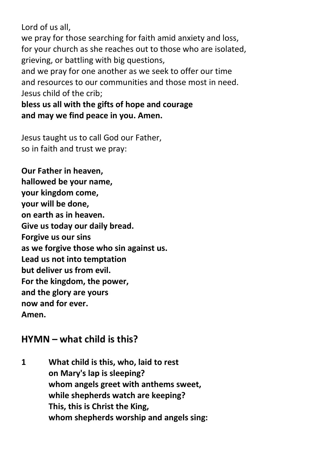Lord of us all, we pray for those searching for faith amid anxiety and loss, for your church as she reaches out to those who are isolated, grieving, or battling with big questions, and we pray for one another as we seek to offer our time and resources to our communities and those most in need. Jesus child of the crib;

#### **bless us all with the gifts of hope and courage and may we find peace in you. Amen.**

Jesus taught us to call God our Father, so in faith and trust we pray:

**Our Father in heaven, hallowed be your name, your kingdom come, your will be done, on earth as in heaven. Give us today our daily bread. Forgive us our sins as we forgive those who sin against us. Lead us not into temptation but deliver us from evil. For the kingdom, the power, and the glory are yours now and for ever. Amen.**

#### **HYMN – what child is this?**

**1 What child is this, who, laid to rest on Mary's lap is sleeping? whom angels greet with anthems sweet, while shepherds watch are keeping? This, this is Christ the King, whom shepherds worship and angels sing:**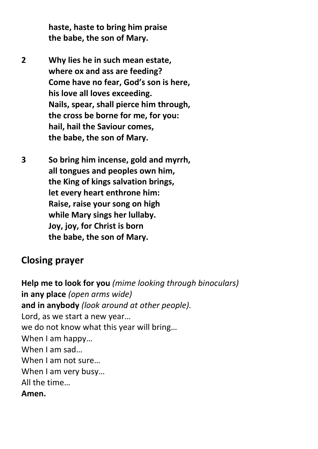**haste, haste to bring him praise the babe, the son of Mary.**

**2 Why lies he in such mean estate, where ox and ass are feeding? Come have no fear, God's son is here, his love all loves exceeding. Nails, spear, shall pierce him through, the cross be borne for me, for you: hail, hail the Saviour comes, the babe, the son of Mary.**

**3 So bring him incense, gold and myrrh, all tongues and peoples own him, the King of kings salvation brings, let every heart enthrone him: Raise, raise your song on high while Mary sings her lullaby. Joy, joy, for Christ is born the babe, the son of Mary.**

#### **Closing prayer**

**Help me to look for you** *(mime looking through binoculars)* **in any place** *(open arms wide)* **and in anybody** *(look around at other people).* Lord, as we start a new year… we do not know what this year will bring… When I am happy… When I am sad… When I am not sure… When I am very busy… All the time… **Amen.**